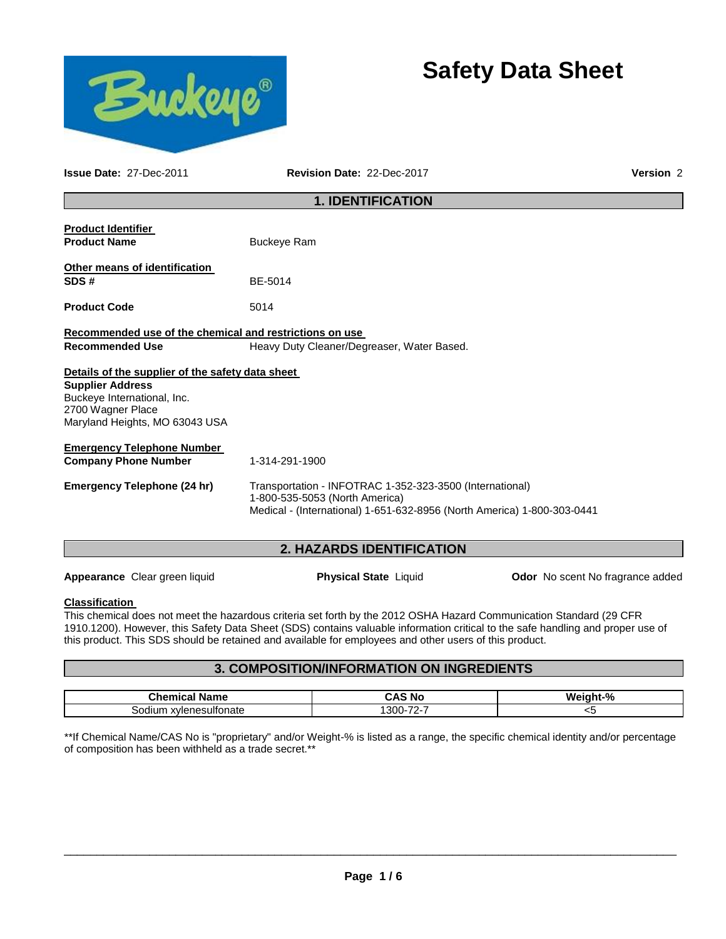



**Issue Date:** 27-Dec-2011 **Revision Date:** 22-Dec-2017 **Version** 2

### **1. IDENTIFICATION**

| <b>Product Identifier</b><br><b>Product Name</b>                                                              | <b>Buckeye Ram</b>                                                                                                                                                    |
|---------------------------------------------------------------------------------------------------------------|-----------------------------------------------------------------------------------------------------------------------------------------------------------------------|
| Other means of identification<br>SDS#                                                                         | BE-5014                                                                                                                                                               |
| <b>Product Code</b>                                                                                           | 5014                                                                                                                                                                  |
| Recommended use of the chemical and restrictions on use<br><b>Recommended Use</b>                             | Heavy Duty Cleaner/Degreaser, Water Based.                                                                                                                            |
| Details of the supplier of the safety data sheet                                                              |                                                                                                                                                                       |
| <b>Supplier Address</b><br>Buckeye International, Inc.<br>2700 Wagner Place<br>Maryland Heights, MO 63043 USA |                                                                                                                                                                       |
| <b>Emergency Telephone Number</b>                                                                             |                                                                                                                                                                       |
| <b>Company Phone Number</b>                                                                                   | 1-314-291-1900                                                                                                                                                        |
| <b>Emergency Telephone (24 hr)</b>                                                                            | Transportation - INFOTRAC 1-352-323-3500 (International)<br>1-800-535-5053 (North America)<br>Medical - (International) 1-651-632-8956 (North America) 1-800-303-0441 |

#### **2. HAZARDS IDENTIFICATION**

**Appearance** Clear green liquid **Physical State** Liquid **Odor** No scent No fragrance added

### **Classification**

This chemical does not meet the hazardous criteria set forth by the 2012 OSHA Hazard Communication Standard (29 CFR 1910.1200). However, this Safety Data Sheet (SDS) contains valuable information critical to the safe handling and proper use of this product. This SDS should be retained and available for employees and other users of this product.

### **3. COMPOSITION/INFORMATION ON INGREDIENTS**

| <b>Chemical</b><br>Name    | <b>CAS No</b>                    | n.<br>W۵ |
|----------------------------|----------------------------------|----------|
| ultonate<br>…vlener<br>s∩r | $\overline{\phantom{a}}$<br>300- | ີ        |

\*\*If Chemical Name/CAS No is "proprietary" and/or Weight-% is listed as a range, the specific chemical identity and/or percentage of composition has been withheld as a trade secret.\*\*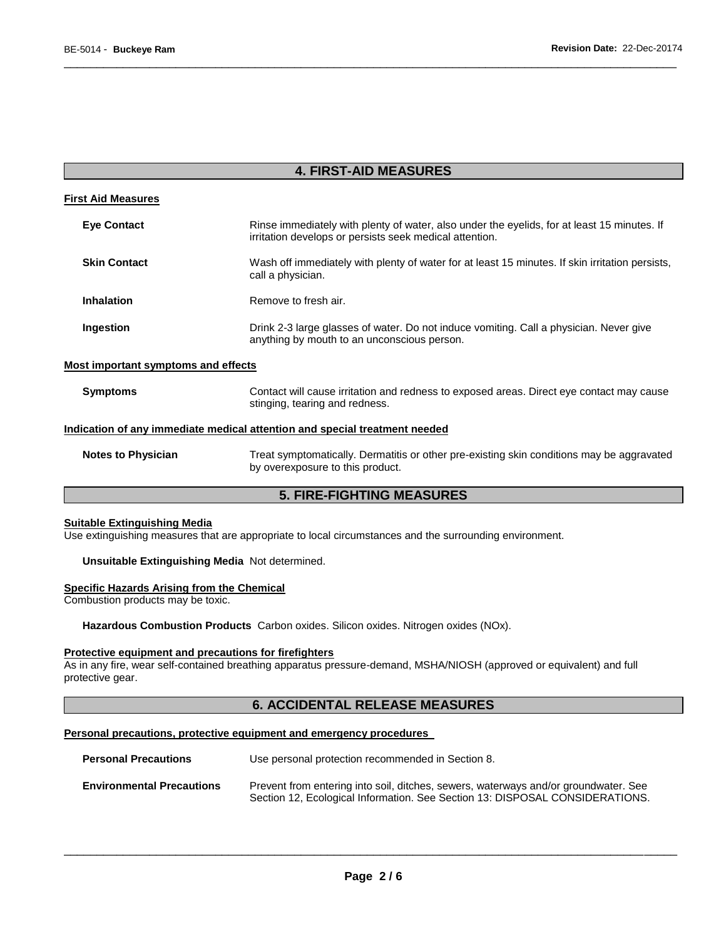### **4. FIRST-AID MEASURES**

\_\_\_\_\_\_\_\_\_\_\_\_\_\_\_\_\_\_\_\_\_\_\_\_\_\_\_\_\_\_\_\_\_\_\_\_\_\_\_\_\_\_\_\_\_\_\_\_\_\_\_\_\_\_\_\_\_\_\_\_\_\_\_\_\_\_\_\_\_\_\_\_\_\_\_\_\_\_\_\_\_\_\_\_\_\_\_\_\_\_\_\_\_

| <b>First Aid Measures</b>                                                  |                                                                                                                                                        |  |  |  |
|----------------------------------------------------------------------------|--------------------------------------------------------------------------------------------------------------------------------------------------------|--|--|--|
| <b>Eye Contact</b>                                                         | Rinse immediately with plenty of water, also under the eyelids, for at least 15 minutes. If<br>irritation develops or persists seek medical attention. |  |  |  |
| <b>Skin Contact</b>                                                        | Wash off immediately with plenty of water for at least 15 minutes. If skin irritation persists,<br>call a physician.                                   |  |  |  |
| <b>Inhalation</b>                                                          | Remove to fresh air.                                                                                                                                   |  |  |  |
| Ingestion                                                                  | Drink 2-3 large glasses of water. Do not induce vomiting. Call a physician. Never give<br>anything by mouth to an unconscious person.                  |  |  |  |
| <b>Most important symptoms and effects</b>                                 |                                                                                                                                                        |  |  |  |
| <b>Symptoms</b>                                                            | Contact will cause irritation and redness to exposed areas. Direct eye contact may cause<br>stinging, tearing and redness.                             |  |  |  |
| Indication of any immediate medical attention and special treatment needed |                                                                                                                                                        |  |  |  |
| <b>Notes to Physician</b>                                                  | Treat symptomatically. Dermatitis or other pre-existing skin conditions may be aggravated<br>by overexposure to this product.                          |  |  |  |

## **5. FIRE-FIGHTING MEASURES**

#### **Suitable Extinguishing Media**

Use extinguishing measures that are appropriate to local circumstances and the surrounding environment.

### **Unsuitable Extinguishing Media** Not determined.

### **Specific Hazards Arising from the Chemical**

Combustion products may be toxic.

**Hazardous Combustion Products** Carbon oxides. Silicon oxides. Nitrogen oxides (NOx).

#### **Protective equipment and precautions for firefighters**

As in any fire, wear self-contained breathing apparatus pressure-demand, MSHA/NIOSH (approved or equivalent) and full protective gear.

### **6. ACCIDENTAL RELEASE MEASURES**

### **Personal precautions, protective equipment and emergency procedures**

| <b>Personal Precautions</b>      | Use personal protection recommended in Section 8.                                                                                                                   |  |  |  |  |  |
|----------------------------------|---------------------------------------------------------------------------------------------------------------------------------------------------------------------|--|--|--|--|--|
| <b>Environmental Precautions</b> | Prevent from entering into soil, ditches, sewers, waterways and/or groundwater. See<br>Section 12, Ecological Information. See Section 13: DISPOSAL CONSIDERATIONS. |  |  |  |  |  |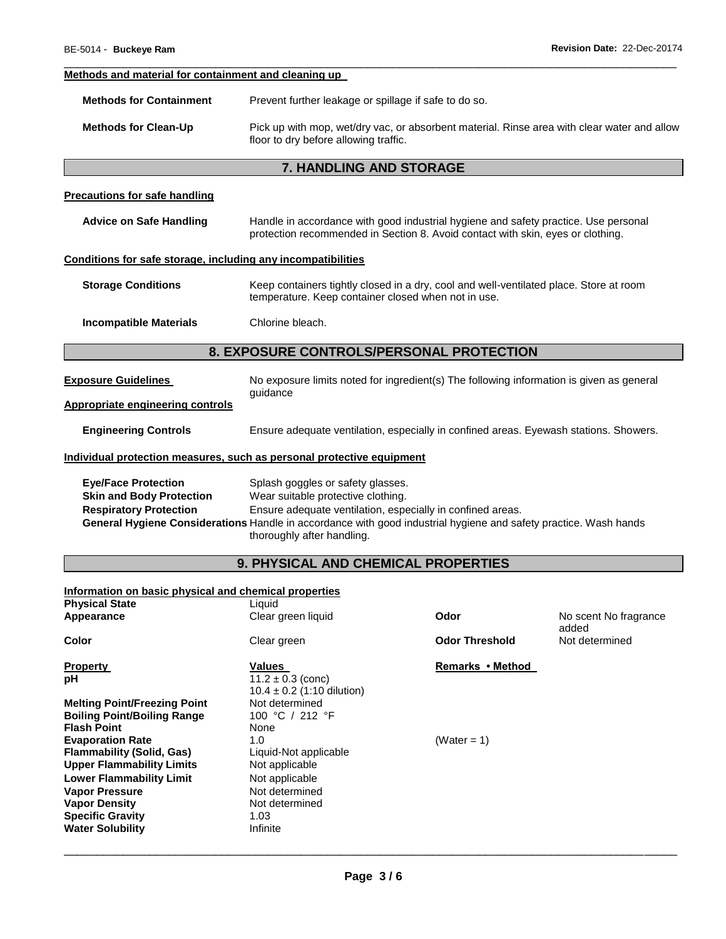### **Methods and material for containment and cleaning up**

| <b>Methods for Containment</b> | Prevent further leakage or spillage if safe to do so. |
|--------------------------------|-------------------------------------------------------|
|--------------------------------|-------------------------------------------------------|

**Methods for Clean-Up** Pick up with mop, wet/dry vac, or absorbent material. Rinse area with clear water and allow floor to dry before allowing traffic.

\_\_\_\_\_\_\_\_\_\_\_\_\_\_\_\_\_\_\_\_\_\_\_\_\_\_\_\_\_\_\_\_\_\_\_\_\_\_\_\_\_\_\_\_\_\_\_\_\_\_\_\_\_\_\_\_\_\_\_\_\_\_\_\_\_\_\_\_\_\_\_\_\_\_\_\_\_\_\_\_\_\_\_\_\_\_\_\_\_\_\_\_\_

### **7. HANDLING AND STORAGE**

### **Precautions for safe handling**

| <b>Advice on Safe Handling</b>                                                                 | Handle in accordance with good industrial hygiene and safety practice. Use personal<br>protection recommended in Section 8. Avoid contact with skin, eyes or clothing. |  |  |  |  |  |
|------------------------------------------------------------------------------------------------|------------------------------------------------------------------------------------------------------------------------------------------------------------------------|--|--|--|--|--|
| Conditions for safe storage, including any incompatibilities                                   |                                                                                                                                                                        |  |  |  |  |  |
| <b>Storage Conditions</b>                                                                      | Keep containers tightly closed in a dry, cool and well-ventilated place. Store at room<br>temperature. Keep container closed when not in use.                          |  |  |  |  |  |
| <b>Incompatible Materials</b>                                                                  | Chlorine bleach.                                                                                                                                                       |  |  |  |  |  |
| 8. EXPOSURE CONTROLS/PERSONAL PROTECTION                                                       |                                                                                                                                                                        |  |  |  |  |  |
| <b>Exposure Guidelines</b>                                                                     | No exposure limits noted for ingredient(s) The following information is given as general<br>guidance                                                                   |  |  |  |  |  |
| <b>Appropriate engineering controls</b>                                                        |                                                                                                                                                                        |  |  |  |  |  |
| <b>Engineering Controls</b>                                                                    | Ensure adequate ventilation, especially in confined areas. Eyewash stations. Showers.                                                                                  |  |  |  |  |  |
|                                                                                                | Individual protection measures, such as personal protective equipment                                                                                                  |  |  |  |  |  |
| <b>Eye/Face Protection</b><br><b>Skin and Body Protection</b><br><b>Respiratory Protection</b> | Splash goggles or safety glasses.<br>Wear suitable protective clothing.<br>Ensure adequate ventilation, especially in confined areas.                                  |  |  |  |  |  |

**Respiratory Protection** Ensure adequate ventilation, especially in confined areas. **General Hygiene Considerations** Handle in accordance with good industrial hygiene and safety practice. Wash hands thoroughly after handling.

# **9. PHYSICAL AND CHEMICAL PROPERTIES**

### **Information on basic physical and chemical properties**

| <b>Physical State</b>               | Liquid                                                  |                       |                                |
|-------------------------------------|---------------------------------------------------------|-----------------------|--------------------------------|
| Appearance                          | Clear green liquid                                      | Odor                  | No scent No fragrance<br>added |
| Color                               | Clear green                                             | <b>Odor Threshold</b> | Not determined                 |
| <b>Property</b>                     | Values                                                  | Remarks • Method      |                                |
| рH                                  | $11.2 \pm 0.3$ (conc)<br>$10.4 \pm 0.2$ (1:10 dilution) |                       |                                |
| <b>Melting Point/Freezing Point</b> | Not determined                                          |                       |                                |
| <b>Boiling Point/Boiling Range</b>  | 100 °C / 212 °F                                         |                       |                                |
| <b>Flash Point</b>                  | None                                                    |                       |                                |
| <b>Evaporation Rate</b>             | 1.0                                                     | (Water = 1)           |                                |
| <b>Flammability (Solid, Gas)</b>    | Liquid-Not applicable                                   |                       |                                |
| <b>Upper Flammability Limits</b>    | Not applicable                                          |                       |                                |
| <b>Lower Flammability Limit</b>     | Not applicable                                          |                       |                                |
| <b>Vapor Pressure</b>               | Not determined                                          |                       |                                |
| <b>Vapor Density</b>                | Not determined                                          |                       |                                |
| <b>Specific Gravity</b>             | 1.03                                                    |                       |                                |
| <b>Water Solubility</b>             | Infinite                                                |                       |                                |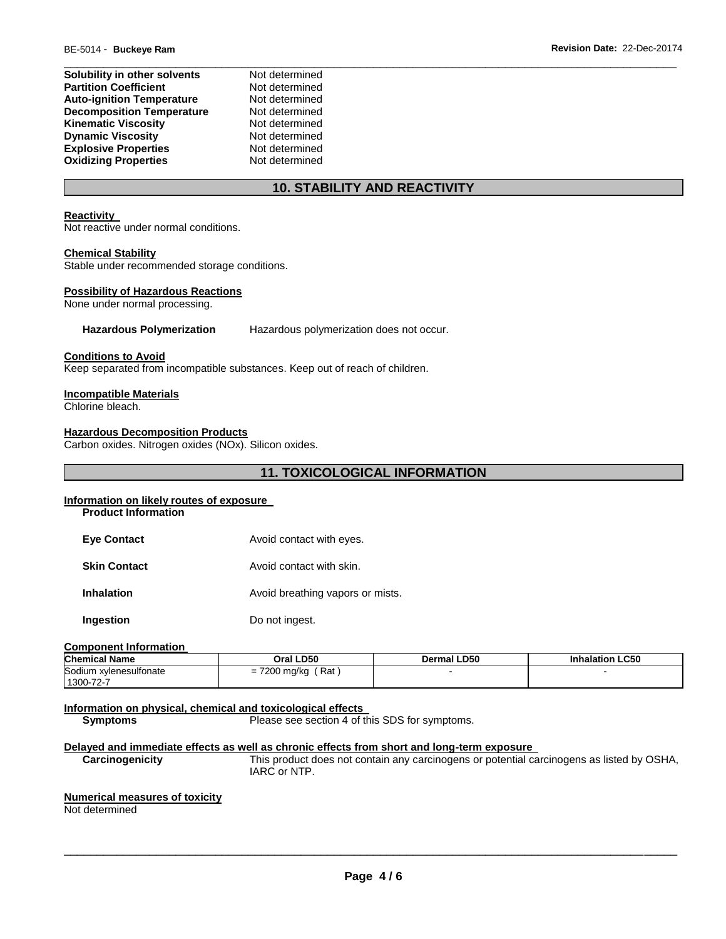| Solubility in other solvents     | Not determined |
|----------------------------------|----------------|
| <b>Partition Coefficient</b>     | Not determined |
| <b>Auto-ignition Temperature</b> | Not determined |
| <b>Decomposition Temperature</b> | Not determined |
| <b>Kinematic Viscosity</b>       | Not determined |
| <b>Dynamic Viscosity</b>         | Not determined |
| <b>Explosive Properties</b>      | Not determined |
| <b>Oxidizing Properties</b>      | Not determined |

### **10. STABILITY AND REACTIVITY**

### **Reactivity**

Not reactive under normal conditions.

#### **Chemical Stability**

Stable under recommended storage conditions.

#### **Possibility of Hazardous Reactions**

None under normal processing.

**Hazardous Polymerization** Hazardous polymerization does not occur.

#### **Conditions to Avoid**

Keep separated from incompatible substances. Keep out of reach of children.

#### **Incompatible Materials**

Chlorine bleach.

#### **Hazardous Decomposition Products**

Carbon oxides. Nitrogen oxides (NOx). Silicon oxides.

## **11. TOXICOLOGICAL INFORMATION**

#### **Information on likely routes of exposure**

**Product Information** 

- **Eye Contact Avoid contact with eyes.**
- **Skin Contact Avoid contact with skin.**
- **Inhalation Avoid breathing vapors or mists.**

**Ingestion Do not ingest.** 

#### **Component Information**

| <b>Chemical Name</b>   | Oral LD50                                              | Dermal LD50 | <b>Inhalation LC50</b> |
|------------------------|--------------------------------------------------------|-------------|------------------------|
| Sodium xylenesulfonate | 7200 mg/kg<br>$'$ Rat $\overline{)}$<br>$=$ $\sqrt{2}$ |             |                        |
| 1300-72-7              |                                                        |             |                        |

**Information on physical, chemical and toxicological effects Symptoms** Please see section 4 of this SDS for symptoms.

**Delayed and immediate effects as well as chronic effects from short and long-term exposure** 

**Carcinogenicity** This product does not contain any carcinogens or potential carcinogens as listed by OSHA, IARC or NTP.

#### **Numerical measures of toxicity**

Not determined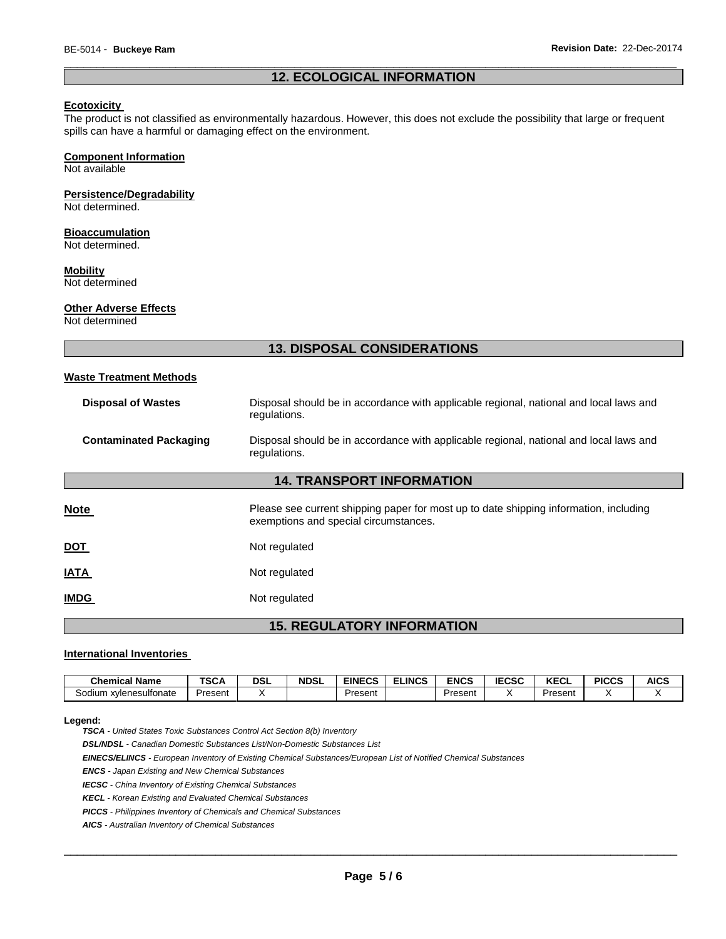### \_\_\_\_\_\_\_\_\_\_\_\_\_\_\_\_\_\_\_\_\_\_\_\_\_\_\_\_\_\_\_\_\_\_\_\_\_\_\_\_\_\_\_\_\_\_\_\_\_\_\_\_\_\_\_\_\_\_\_\_\_\_\_\_\_\_\_\_\_\_\_\_\_\_\_\_\_\_\_\_\_\_\_\_\_\_\_\_\_\_\_\_\_ **12. ECOLOGICAL INFORMATION**

#### **Ecotoxicity**

The product is not classified as environmentally hazardous. However, this does not exclude the possibility that large or frequent spills can have a harmful or damaging effect on the environment.

#### **Component Information**

Not available

### **Persistence/Degradability**

Not determined.

### **Bioaccumulation**

Not determined.

#### **Mobility**

Not determined

#### **Other Adverse Effects**

Not determined

### **13. DISPOSAL CONSIDERATIONS**

#### **Waste Treatment Methods**

| <b>Disposal of Wastes</b>        | Disposal should be in accordance with applicable regional, national and local laws and<br>regulations.                         |  |  |  |  |
|----------------------------------|--------------------------------------------------------------------------------------------------------------------------------|--|--|--|--|
| <b>Contaminated Packaging</b>    | Disposal should be in accordance with applicable regional, national and local laws and<br>regulations.                         |  |  |  |  |
| <b>14. TRANSPORT INFORMATION</b> |                                                                                                                                |  |  |  |  |
| Note                             | Please see current shipping paper for most up to date shipping information, including<br>exemptions and special circumstances. |  |  |  |  |
| <u>DOT</u>                       | Not regulated                                                                                                                  |  |  |  |  |
| <b>ATAI</b>                      | Not regulated                                                                                                                  |  |  |  |  |
| <b>IMDG</b>                      | Not regulated                                                                                                                  |  |  |  |  |
|                                  |                                                                                                                                |  |  |  |  |

**15. REGULATORY INFORMATION** 

#### **International Inventories**

| <b>Chemical Name</b>        | TCA<br>15C/ | <b>DSL</b> | <b>NDSL</b> | <b>EINECS</b> | <b>ELINCS</b> | <b>ENCS</b> | <b>IECSC</b> | <b>KECL</b> | <b>PICCS</b> | <b>AICS</b> |
|-----------------------------|-------------|------------|-------------|---------------|---------------|-------------|--------------|-------------|--------------|-------------|
| 30dium<br>. xvlenesulfonate | Present     |            |             | Present       |               | Present     |              | Present     |              |             |

#### **Legend:**

*TSCA - United States Toxic Substances Control Act Section 8(b) Inventory* 

*DSL/NDSL - Canadian Domestic Substances List/Non-Domestic Substances List* 

*EINECS/ELINCS - European Inventory of Existing Chemical Substances/European List of Notified Chemical Substances* 

*ENCS - Japan Existing and New Chemical Substances* 

*IECSC - China Inventory of Existing Chemical Substances* 

*KECL - Korean Existing and Evaluated Chemical Substances* 

*PICCS - Philippines Inventory of Chemicals and Chemical Substances* 

*AICS - Australian Inventory of Chemical Substances*